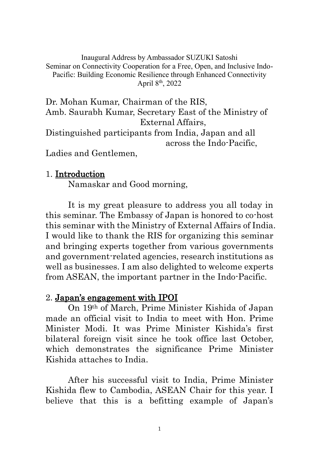Inaugural Address by Ambassador SUZUKI Satoshi Seminar on Connectivity Cooperation for a Free, Open, and Inclusive Indo-Pacific: Building Economic Resilience through Enhanced Connectivity April 8th, 2022

Dr. Mohan Kumar, Chairman of the RIS, Amb. Saurabh Kumar, Secretary East of the Ministry of External Affairs, Distinguished participants from India, Japan and all across the Indo-Pacific, Ladies and Gentlemen,

## 1. Introduction

Namaskar and Good morning,

It is my great pleasure to address you all today in this seminar. The Embassy of Japan is honored to co-host this seminar with the Ministry of External Affairs of India. I would like to thank the RIS for organizing this seminar and bringing experts together from various governments and government-related agencies, research institutions as well as businesses. I am also delighted to welcome experts from ASEAN, the important partner in the Indo-Pacific.

## 2. Japan's engagement with IPOI

On 19th of March, Prime Minister Kishida of Japan made an official visit to India to meet with Hon. Prime Minister Modi. It was Prime Minister Kishida's first bilateral foreign visit since he took office last October, which demonstrates the significance Prime Minister Kishida attaches to India.

After his successful visit to India, Prime Minister Kishida flew to Cambodia, ASEAN Chair for this year. I believe that this is a befitting example of Japan's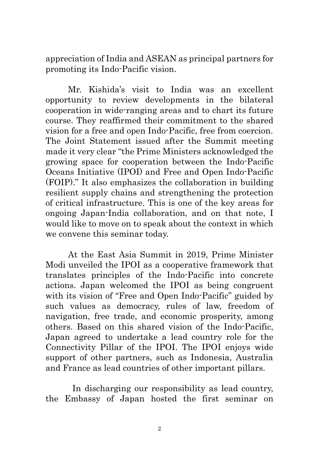appreciation of India and ASEAN as principal partners for promoting its Indo-Pacific vision.

Mr. Kishida's visit to India was an excellent opportunity to review developments in the bilateral cooperation in wide-ranging areas and to chart its future course. They reaffirmed their commitment to the shared vision for a free and open Indo-Pacific, free from coercion. The Joint Statement issued after the Summit meeting made it very clear "the Prime Ministers acknowledged the growing space for cooperation between the Indo-Pacific Oceans Initiative (IPOI) and Free and Open Indo-Pacific (FOIP)." It also emphasizes the collaboration in building resilient supply chains and strengthening the protection of critical infrastructure. This is one of the key areas for ongoing Japan-India collaboration, and on that note, I would like to move on to speak about the context in which we convene this seminar today.

At the East Asia Summit in 2019, Prime Minister Modi unveiled the IPOI as a cooperative framework that translates principles of the Indo-Pacific into concrete actions. Japan welcomed the IPOI as being congruent with its vision of "Free and Open Indo-Pacific" guided by such values as democracy, rules of law, freedom of navigation, free trade, and economic prosperity, among others. Based on this shared vision of the Indo-Pacific, Japan agreed to undertake a lead country role for the Connectivity Pillar of the IPOI. The IPOI enjoys wide support of other partners, such as Indonesia, Australia and France as lead countries of other important pillars.

In discharging our responsibility as lead country, the Embassy of Japan hosted the first seminar on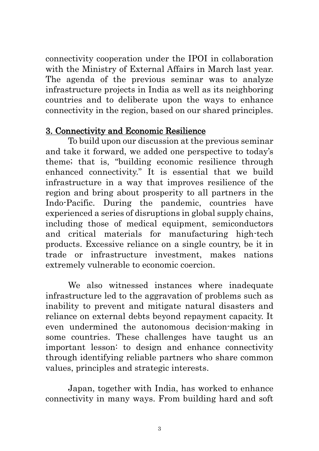connectivity cooperation under the IPOI in collaboration with the Ministry of External Affairs in March last year. The agenda of the previous seminar was to analyze infrastructure projects in India as well as its neighboring countries and to deliberate upon the ways to enhance connectivity in the region, based on our shared principles.

## 3. Connectivity and Economic Resilience

To build upon our discussion at the previous seminar and take it forward, we added one perspective to today's theme; that is, "building economic resilience through enhanced connectivity." It is essential that we build infrastructure in a way that improves resilience of the region and bring about prosperity to all partners in the Indo-Pacific. During the pandemic, countries have experienced a series of disruptions in global supply chains, including those of medical equipment, semiconductors and critical materials for manufacturing high-tech products. Excessive reliance on a single country, be it in trade or infrastructure investment, makes nations extremely vulnerable to economic coercion.

We also witnessed instances where inadequate infrastructure led to the aggravation of problems such as inability to prevent and mitigate natural disasters and reliance on external debts beyond repayment capacity. It even undermined the autonomous decision-making in some countries. These challenges have taught us an important lesson: to design and enhance connectivity through identifying reliable partners who share common values, principles and strategic interests.

Japan, together with India, has worked to enhance connectivity in many ways. From building hard and soft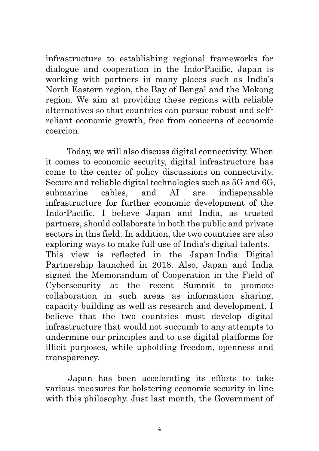infrastructure to establishing regional frameworks for dialogue and cooperation in the Indo-Pacific, Japan is working with partners in many places such as India's North Eastern region, the Bay of Bengal and the Mekong region. We aim at providing these regions with reliable alternatives so that countries can pursue robust and selfreliant economic growth, free from concerns of economic coercion.

Today, we will also discuss digital connectivity. When it comes to economic security, digital infrastructure has come to the center of policy discussions on connectivity. Secure and reliable digital technologies such as 5G and 6G, submarine cables, and AI are indispensable infrastructure for further economic development of the Indo-Pacific. I believe Japan and India, as trusted partners, should collaborate in both the public and private sectors in this field. In addition, the two countries are also exploring ways to make full use of India's digital talents. This view is reflected in the Japan-India Digital Partnership launched in 2018. Also, Japan and India signed the Memorandum of Cooperation in the Field of Cybersecurity at the recent Summit to promote collaboration in such areas as information sharing, capacity building as well as research and development. I believe that the two countries must develop digital infrastructure that would not succumb to any attempts to undermine our principles and to use digital platforms for illicit purposes, while upholding freedom, openness and transparency.

Japan has been accelerating its efforts to take various measures for bolstering economic security in line with this philosophy. Just last month, the Government of